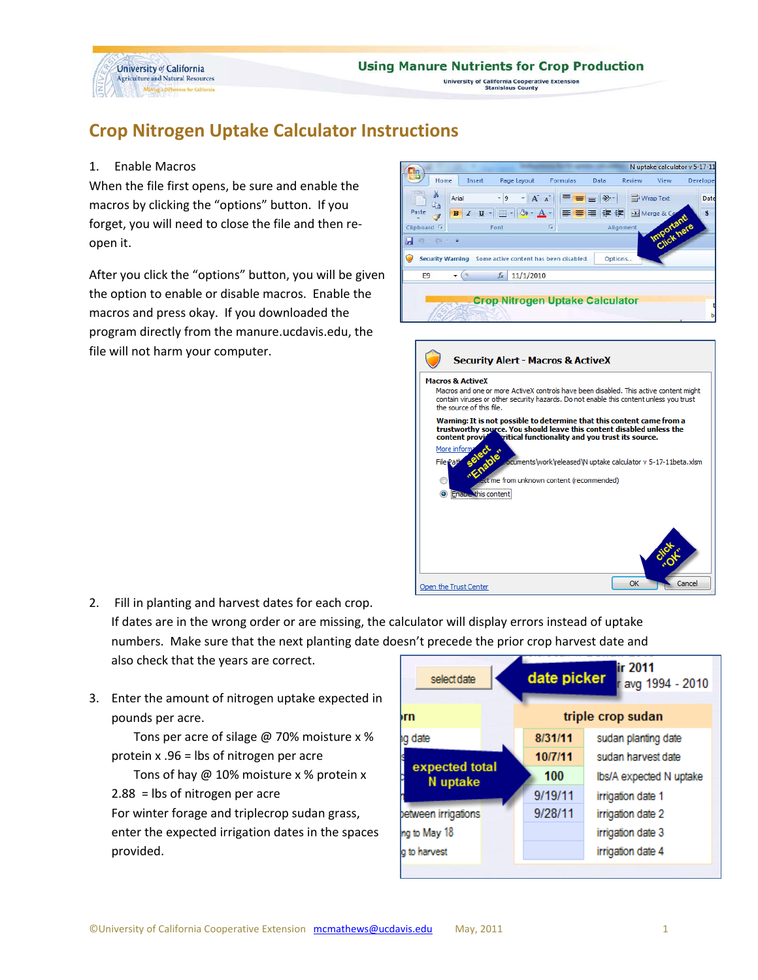

this content

Open the Trust Center

University of California Cooperative Extension<br>Stanislaus County

## **Crop Nitrogen Uptake Calculator Instructions**

## 1. Enable Macros

When the file first opens, be sure and enable the macros by clicking the "options" button. If you forget, you will need to close the file and then reopen it.

After you click the "options" button, you will be given the option to enable or disable macros. Enable the macros and press okay. If you downloaded the program directly from the manure.ucdavis.edu, the file will not harm your computer.

|                         |                                                       |                                                                                                                                                                                 |                                                               |         |                |                  | N uptake calculator v 5-17-11   |
|-------------------------|-------------------------------------------------------|---------------------------------------------------------------------------------------------------------------------------------------------------------------------------------|---------------------------------------------------------------|---------|----------------|------------------|---------------------------------|
| Home                    | Insert                                                | Page Layout                                                                                                                                                                     | Formulas                                                      | Data    | Review         | View             | Developer                       |
| ă.<br>a a<br>Paste      | Arial                                                 | $+ 9$                                                                                                                                                                           | $A^{\dagger} A^{\dagger}$<br>三臺                               | $\gg$   | Wrap Text      |                  | Date<br>$\overline{\mathbf{s}}$ |
|                         | $\mathbf{U}$<br>$\mathbf{B}$<br>$\overline{I}$        | 開<br>$A - A$                                                                                                                                                                    |                                                               | 狂狂      | Fax Merge & Ce | <b>Important</b> |                                 |
| Clipboard <sup>IV</sup> |                                                       | Font                                                                                                                                                                            | 覆                                                             |         | Alignment      |                  |                                 |
| $127 - 124 - 7$<br>Ы    |                                                       |                                                                                                                                                                                 |                                                               |         |                |                  |                                 |
| O                       | <b>Security Warning</b>                               | Some active content has been disabled.                                                                                                                                          |                                                               | Options |                |                  |                                 |
| E <sub>9</sub>          | <b>Contract</b>                                       | 11/1/2010<br>$f_x$                                                                                                                                                              |                                                               |         |                |                  |                                 |
|                         |                                                       |                                                                                                                                                                                 |                                                               |         |                |                  |                                 |
|                         |                                                       | <b>Crop Nitrogen Uptake Calculator</b>                                                                                                                                          |                                                               |         |                |                  |                                 |
|                         |                                                       |                                                                                                                                                                                 |                                                               |         |                |                  |                                 |
|                         |                                                       |                                                                                                                                                                                 |                                                               |         |                |                  |                                 |
|                         |                                                       |                                                                                                                                                                                 |                                                               |         |                |                  |                                 |
|                         |                                                       | <b>Security Alert - Macros &amp; ActiveX</b>                                                                                                                                    |                                                               |         |                |                  |                                 |
|                         |                                                       |                                                                                                                                                                                 |                                                               |         |                |                  |                                 |
|                         |                                                       |                                                                                                                                                                                 |                                                               |         |                |                  |                                 |
|                         | <b>Macros &amp; ActiveX</b>                           |                                                                                                                                                                                 |                                                               |         |                |                  |                                 |
|                         | the source of this file.                              | Macros and one or more ActiveX controls have been disabled. This active content might<br>contain viruses or other security hazards. Do not enable this content unless you trust |                                                               |         |                |                  |                                 |
|                         |                                                       | Warning: It is not possible to determine that this content came from a<br>trustworthy source. You should leave this content disabled unless the                                 |                                                               |         |                |                  |                                 |
|                         |                                                       | content provident writical functionality and you trust its source.                                                                                                              |                                                               |         |                |                  |                                 |
|                         | More inform:<br>select<br>"Enable<br><b>File Patk</b> |                                                                                                                                                                                 | ocuments\work\released\N uptake calculator v 5-17-11beta.xlsm |         |                |                  |                                 |

2. Fill in planting and harvest dates for each crop. If dates are in the wrong order or are missing, the calculator will display errors instead of uptake

numbers. Make sure that the next planting date doesn't precede the prior crop harvest date and also check that the years are correct.

3. Enter the amount of nitrogen uptake expected in pounds per acre.

Tons per acre of silage @ 70% moisture x % protein x .96 = lbs of nitrogen per acre

Tons of hay @ 10% moisture x % protein x 2.88 = lbs of nitrogen per acre

For winter forage and triplecrop sudan grass, enter the expected irrigation dates in the spaces provided.

| select date                |         | ir 2011<br>date picker<br>avg 1994 - 2010 |  |  |  |  |  |
|----------------------------|---------|-------------------------------------------|--|--|--|--|--|
| orn                        |         | triple crop sudan                         |  |  |  |  |  |
| ng date                    | 8/31/11 | sudan planting date                       |  |  |  |  |  |
|                            | 10/7/11 | sudan harvest date                        |  |  |  |  |  |
| expected total<br>N uptake | 100     | Ibs/A expected N uptake                   |  |  |  |  |  |
|                            | 9/19/11 | irrigation date 1                         |  |  |  |  |  |
| between irrigations        | 9/28/11 | irrigation date 2                         |  |  |  |  |  |
| ing to May 18              |         | irrigation date 3                         |  |  |  |  |  |
| g to harvest               |         | irrigation date 4                         |  |  |  |  |  |
|                            |         |                                           |  |  |  |  |  |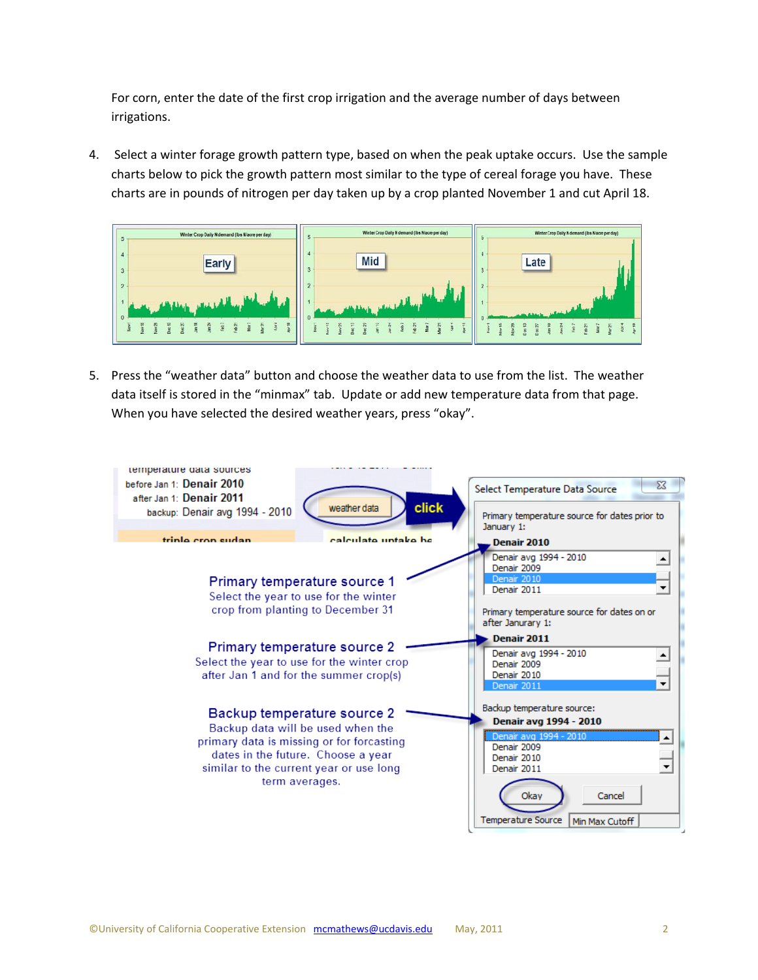For corn, enter the date of the first crop irrigation and the average number of days between irrigations.

4. Select a winter forage growth pattern type, based on when the peak uptake occurs. Use the sample charts below to pick the growth pattern most similar to the type of cereal forage you have. These charts are in pounds of nitrogen per day taken up by a crop planted November 1 and cut April 18.



5. Press the "weather data" button and choose the weather data to use from the list. The weather data itself is stored in the "minmax" tab. Update or add new temperature data from that page. When you have selected the desired weather years, press "okay".

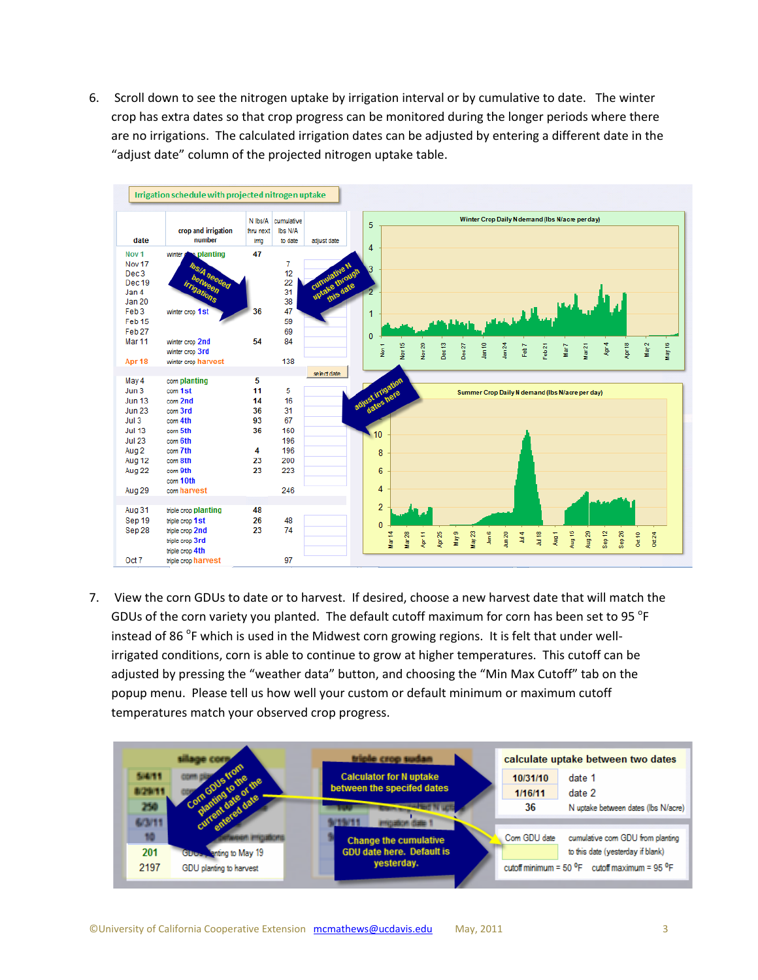6. Scroll down to see the nitrogen uptake by irrigation interval or by cumulative to date. The winter crop has extra dates so that crop progress can be monitored during the longer periods where there are no irrigations. The calculated irrigation dates can be adjusted by entering a different date in the "adjust date" column of the projected nitrogen uptake table.



7. View the corn GDUs to date or to harvest. If desired, choose a new harvest date that will match the GDUs of the corn variety you planted. The default cutoff maximum for corn has been set to 95  $\mathrm{^oF}$ instead of 86 <sup>o</sup>F which is used in the Midwest corn growing regions. It is felt that under wellirrigated conditions, corn is able to continue to grow at higher temperatures. This cutoff can be adjusted by pressing the "weather data" button, and choosing the "Min Max Cutoff" tab on the popup menu. Please tell us how well your custom or default minimum or maximum cutoff temperatures match your observed crop progress.